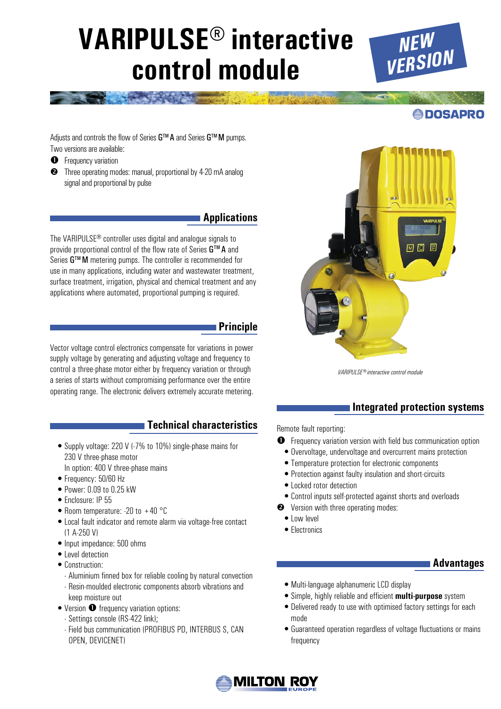# **VARIPULSE® interactive control module**



**ODOSAPRO** 

Adjusts and controls the flow of Series G™A and Series G™M pumps. Two versions are available:

- **O** Frequency variation
- **<sup>3</sup>** Three operating modes: manual, proportional by 4-20 mA analog signal and proportional by pulse

# **Applications**

The VARIPULSE® controller uses digital and analogue signals to provide proportional control of the flow rate of Series G™ A and Series G™M metering pumps. The controller is recommended for use in many applications, including water and wastewater treatment, surface treatment, irrigation, physical and chemical treatment and any applications where automated, proportional pumping is required.

### **Principle**

Vector voltage control electronics compensate for variations in power supply voltage by generating and adjusting voltage and frequency to control a three-phase motor either by frequency variation or through a series of starts without compromising performance over the entire operating range. The electronic delivers extremely accurate metering.

# **Technical characteristics**

- Supply voltage: 220 V (-7% to 10%) single-phase mains for 230 V three-phase motor In option: 400 V three-phase mains
- Frequency: 50/60 Hz
- Power: 0.09 to 0.25 kW
- Enclosure: IP 55
- Room temperature: -20 to +40 °C
- Local fault indicator and remote alarm via voltage-free contact (1 A-250 V)
- Input impedance: 500 ohms
- Level detection
- Construction:
	- Aluminium finned box for reliable cooling by natural convection
	- Resin-moulded electronic components absorb vibrations and keep moisture out
- $\bullet$  Version  $\bullet$  frequency variation options:
	- Settings console (RS-422 link);
	- Field bus communication (PROFIBUS PD, INTERBUS S, CAN OPEN, DEVICENET)



*VARIPULSE® interactive control module*

### **Integrated protection systems**

Remote fault reporting:

- **O** Frequency variation version with field bus communication option
- Overvoltage, undervoltage and overcurrent mains protection
- Temperature protection for electronic components
- •Protection against faulty insulation and short-circuits
- Locked rotor detection
- Control inputs self-protected against shorts and overloads
- **<sup>●</sup>** Version with three operating modes:
	- Low level
	- Electronics

### **Advantages**

- Multi-language alphanumeric LCD display
- Simple, highly reliable and efficient **multi-purpose** system
- Delivered ready to use with optimised factory settings for each mode
- Guaranteed operation regardless of voltage fluctuations or mains frequency